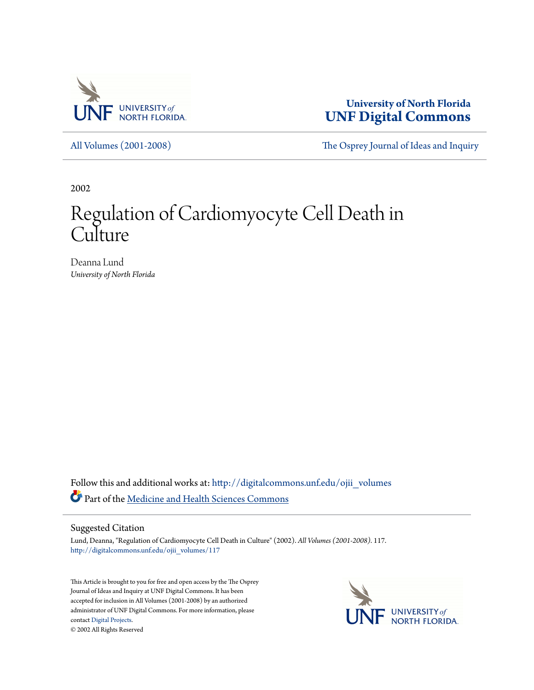

**University of North Florida [UNF Digital Commons](http://digitalcommons.unf.edu?utm_source=digitalcommons.unf.edu%2Fojii_volumes%2F117&utm_medium=PDF&utm_campaign=PDFCoverPages)**

[All Volumes \(2001-2008\)](http://digitalcommons.unf.edu/ojii_volumes?utm_source=digitalcommons.unf.edu%2Fojii_volumes%2F117&utm_medium=PDF&utm_campaign=PDFCoverPages) [The Osprey Journal of Ideas and Inquiry](http://digitalcommons.unf.edu/ojii?utm_source=digitalcommons.unf.edu%2Fojii_volumes%2F117&utm_medium=PDF&utm_campaign=PDFCoverPages)

2002

# Regulation of Cardiomyocyte Cell Death in **Culture**

Deanna Lund *University of North Florida*

Follow this and additional works at: [http://digitalcommons.unf.edu/ojii\\_volumes](http://digitalcommons.unf.edu/ojii_volumes?utm_source=digitalcommons.unf.edu%2Fojii_volumes%2F117&utm_medium=PDF&utm_campaign=PDFCoverPages) Part of the [Medicine and Health Sciences Commons](http://network.bepress.com/hgg/discipline/648?utm_source=digitalcommons.unf.edu%2Fojii_volumes%2F117&utm_medium=PDF&utm_campaign=PDFCoverPages)

### Suggested Citation

Lund, Deanna, "Regulation of Cardiomyocyte Cell Death in Culture" (2002). *All Volumes (2001-2008)*. 117. [http://digitalcommons.unf.edu/ojii\\_volumes/117](http://digitalcommons.unf.edu/ojii_volumes/117?utm_source=digitalcommons.unf.edu%2Fojii_volumes%2F117&utm_medium=PDF&utm_campaign=PDFCoverPages)

This Article is brought to you for free and open access by the The Osprey Journal of Ideas and Inquiry at UNF Digital Commons. It has been accepted for inclusion in All Volumes (2001-2008) by an authorized administrator of UNF Digital Commons. For more information, please contact [Digital Projects.](mailto:lib-digital@unf.edu) © 2002 All Rights Reserved

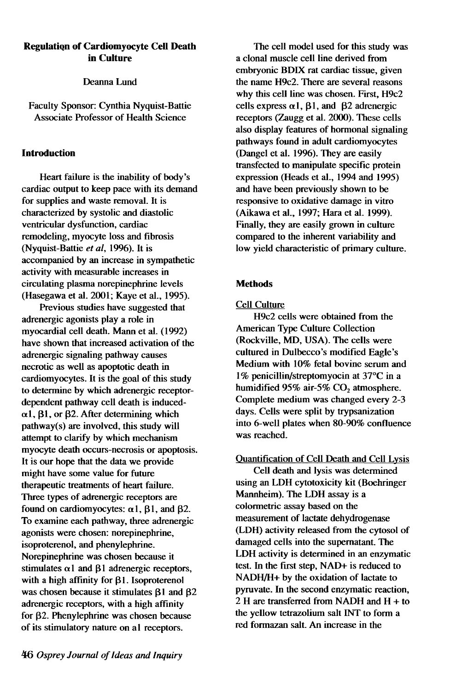# Regulatiqn of Cardiomyocyte CeU Death in Culture

Deanna Lund

Faculty Sponsor: Cynthia Nyquist-Battie Associate Professor of Health Science

# Introduction

Heart failure is the inability of body's cardiac output to keep pace with its demand for supplies and waste removal. It is characterized by systolic and diastolic ventricular dysfunction, cardiac remodeling, myocyte loss and fibrosis (Nyquist-Battie *et ai,* 1996). It is accompanied by an increase in sympathetic activity with measurable increases in circulating plasma norepinephrine levels (Hasegawa et al. 2001; Kaye et al., 1995).

Previous studies have suggested that adrenergic agonists play a role in myocardial cell death. Mann et al. (1992) have shown that increased activation of the adrenergic signaling pathway causes necrotic as well as apoptotic death in cardiomyocytes. It is the goal of this study to determine by which adrenergic receptordependent pathway cell death is induced-  $\alpha$ 1,  $\beta$ 1, or  $\beta$ 2. After determining which pathway(s) are involved, this study will attempt to clarify by which mechanism myocyte death occurs-necrosis or apoptosis. It is our hope that the data we provide might have some value for future therapeutic treatments of heart failure. Three types of adrenergic receptors are found on cardiomyocytes:  $\alpha$ 1,  $\beta$ 1, and  $\beta$ 2. To examine each pathway, three adrenergic agonists were chosen: norepinephrine, isoproterenol, and phenylephrine. Norepinephrine was chosen because it stimulates  $\alpha$ 1 and  $\beta$ 1 adrenergic receptors, with a high affinity for  $\beta$ 1. Isoproterenol was chosen because it stimulates  $\beta$ 1 and  $\beta$ 2 adrenergic receptors, with a high affinity for  $\beta$ 2. Phenylephrine was chosen because of its stimulatory nature on al receptors.

The cell model used for this study was a clonal muscle cell line derived from embryonic BDIX rat cardiac tissue, given the name H9c2. There are several reasons why this cell line was chosen. First, H9c2 cells express  $\alpha$ 1,  $\beta$ 1, and  $\beta$ 2 adrenergic receptors (Zaugg et al. 2000). These cells also display features of hormonal signaling pathways found in adult cardiomyocytes (Dangel et al. 1996). They are easily transfected to manipulate specific protein expression (Heads et al., 1994 and 1995) and have been previously shown to be responsive to oxidative damage in vitro (Aikawa et al., 1997; Hara et al. 1999). Finally, they are easily grown in culture compared to the inherent variability and low yield characteristic of primary culture.

# **Methods**

# Cell Culture

H9c2 cells were obtained from the American Type Culture Collection (Rockville, MD, USA). The cells were cultured in Dulbecco's modified Eagle's Medium with 10% fetal bovine serum and 1 % penicillin/streptomyocin at 37°C in a humidified 95% air-5% CO<sub>2</sub> atmosphere. Complete medium was changed every 2-3 days. Cells were split by trypsanization into 6-well plates when 80-90% confluence was reached.

# Quantification of Cell Death and Cell Lysis

Cell death and lysis was determined using an LDH cytotoxicity kit (Boehringer Mannheim). The LDH assay is a colormetric assay based on the measurement of lactate dehydrogenase (LDH) activity released from the cytosol of damaged cells into the supernatant. The LDH activity is determined in an enzymatic test. In the first step, NAD+ is reduced to NADH/H+ by the oxidation of lactate to pyruvate. In the second enzymatic reaction, 2 H are transferred from NADH and H + to the yellow tetrazolium salt INT to form a red formazan salt. An increase in the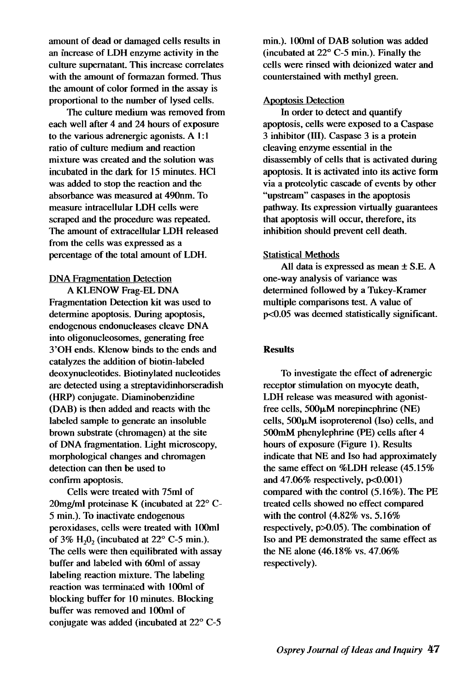amount of dead or damaged cells results in an increase of LDH enzyme activity in the culture supernatant. This increase correlates with the amount of formazan formed. Thus the amount of color formed in the assay is proportional to the number of lysed cells.

The culture medium was removed from each well after 4 and 24 hours of exposure to the various adrenergic agonists. A I: 1 ratio of culture medium and reaction mixture was created and the solution was incubated in the dark for 15 minutes. HCI was added to stop the reaction and the absorbance was measured at 49Onrn. To measure intracellular LDH cells were scraped and the procedure was repeated. The amount of extracellular LDH released from the cells was expressed as a percentage of the total amount of LDH.

#### DNA Fragmentation Detection

A KLENOW Frag-EL DNA Fragmentation Detection kit was used to determine apoptosis. During apoptosis, endogenous endonucleases cleave DNA into oligonucleosomes, generating free 3 'OH ends. Klenow binds to the ends and catalyzes the addition of biotin-labeled deoxynucleotides. Biotinylated nucleotides are detected using a streptavidinhorseradish (HRP) conjugate. Diaminobenzidine (DAB) is then added and reacts with the labeled sample to generate an insoluble brown substrate (chromagen) at the site of DNA fragmentation. Light microscopy, morphological changes and chromagen detection can then be used to confirm apoptosis.

Cells were treated with 75ml of 2Omg/ml proteinase K (incubated at 22° C-5 min.). To inactivate endogenous peroxidases, cells were treated with l00m1 of 3% H<sub>2</sub>0<sub>2</sub> (incubated at  $22^{\circ}$  C-5 min.). The cells were then equilibrated with assay buffer and labeled with 6Om1 of assay labeling reaction mixture. The labeling reaction was terminated with l00m1 of blocking buffer for 10 minutes. Blocking buffer was removed and l00m1 of conjugate was added (incubated at 22° C-5

min.). lOOml of DAB solution was added (incubated at 22° C-5 min.). Finally the cells were rinsed with deionized water and counterstained with methyl green.

#### Apoptosis Detection

In order to detect and quantify apoptosis, cells were exposed to a Caspase 3 inhibitor (III). Caspase 3 is a protein cleaving enzyme essential in the disassembly of cells that is activated during apoptosis. It is activated into its active form via a proteolytic cascade of events by other "upstream" caspases in the apoptosis pathway. Its expression virtually guarantees that apoptosis will occur, therefore, its inhibition should prevent cell death.

#### Statistical Methods

All data is expressed as mean ± S.E. A one-way analysis of variance was determined followed by a Tukey-Kramer multiple comparisons test. A value of  $p<0.05$  was deemed statistically significant.

#### **Results**

To investigate the effect of adrenergic receptor stimulation on myocyte death, LDH release was measured with agonistfree cells,  $500\mu$ M norepinephrine (NE) cells,  $500\mu$ M isoproterenol (Iso) cells, and 500mM phenylephrine (PE) cells after 4 hours of exposure (Figure 1). Results indicate that NE and Iso had approximately the same effect on %LDH release (45.15% and  $47.06\%$  respectively,  $p<0.001$ ) compared with the control (5.16%). The PE treated cells showed no effect compared with the control (4.82% vs. 5.16% respectively, p>O.05). The combination of Iso and PE demonstrated the same effect as the NE alone (46.18% vs. 47.06% respectively).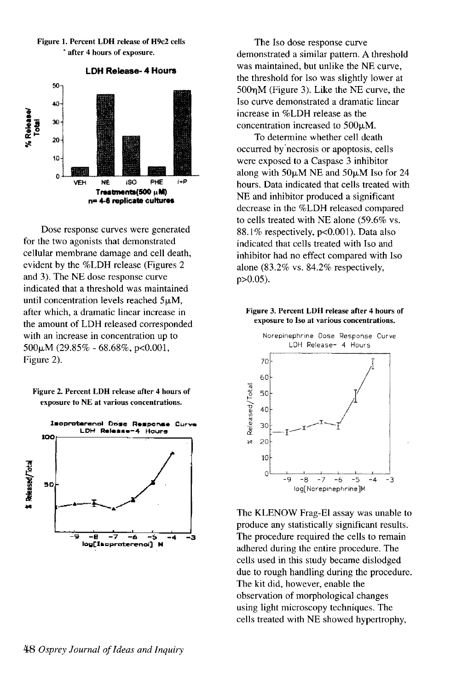

Dose response curves were generated for the two agonists that demonstrated cellular membrane damage and cell death, evident by the %LDH release (Figures 2 and 3). The NE dose response curve indicated that a threshold was maintained until concentration levels reached  $5\mu$ M, after which, a dramatic linear increase in the amount of LDH released corresponded with an increase in concentration up to  $500\mu$ M (29.85% - 68.68%, p<0.001, Figure 2).

Figure 2. Percent LDH release after 4 hours of exposure to NE at various concentrations.



The Iso dose response curve demonstrated a similar pattern. A threshold was maintained, but unlike the NE curve, the threshold for Iso was slightly lower at  $500<sub>n</sub>M$  (Figure 3). Like the NE curve, the Iso curve demonstrated a dramatic linear increase in %LDH release as the concentration increased to  $500\mu$ M.

To determine whether cell death occurred by'necrosis or apoptosis, cells were exposed to a Caspase 3 inhibitor along with  $50\mu$ M NE and  $50\mu$ M Iso for 24 hours. Data indicated that cells treated with NE and inhibitor produced a significant decrease in the %LDH released compared to cells treated with NE alone (59.6% vs. 88.1% respectively,  $p<0.001$ ). Data also indicated that cells treated with Iso and inhibitor had no effect compared with Iso alone (83.2% vs. 84.2% respectively, p>O.05).

#### Figure 3. Percent LDH release after 4 hours of exposure to Iso at various concentrations.



The KLENOW Frag-El assay was unable to produce any statistically significant results. The procedure required the cells to remain adhered during the entire procedure. The cells used in this study became dislodged due to rough handling during the procedure. The kit did, however, enable the observation of morphological changes using light microscopy techniques. The cells treated with NE showed hypertrophy,

# Figure 1. Percent LDH release of H9c2 cells • after 4 hours of exposure.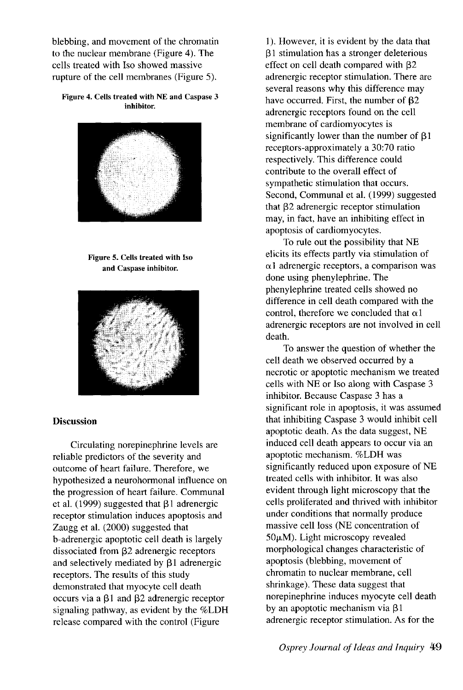blebbing, and movement of the chromatin to the nuclear membrane (Figure 4). The cells treated with Iso showed massive rupture of the cell membranes (Figure 5).

#### Figure 4. Cells treated with NE and Caspase 3 inhibitor.



Figure 5. Cells treated with Iso and Caspase inhibitor.



# **Discussion**

Circulating norepinephrine levels are reliable predictors of the severity and outcome of heart failure. Therefore, we hypothesized a neurohormonal influence on the progression of heart failure. Communal et al. (1999) suggested that  $\beta$ 1 adrenergic receptor stimulation induces apoptosis and Zaugg et al. (2000) suggested that b-adrenergic apoptotic cell death is largely dissociated from  $\beta$ 2 adrenergic receptors and selectively mediated by  $\beta$ 1 adrenergic receptors. The results of this study demonstrated that myocyte cell death occurs via a  $\beta$ 1 and  $\beta$ 2 adrenergic receptor signaling pathway, as evident by the %LDH release compared with the control (Figure

1). However, it is evident by the data that 131 stimulation has a stronger deleterious effect on cell death compared with  $\beta$ 2 adrenergic receptor stimulation. There are several reasons why this difference may have occurred. First, the number of  $\beta$ 2 adrenergic receptors found on the cell membrane of cardiomyocytes is significantly lower than the number of  $\beta$ 1 receptors-approximately a 30:70 ratio respectively. This difference could contribute to the overall effect of sympathetic stimulation that occurs. Second, Communal et al. (1999) suggested that  $\beta$ 2 adrenergic receptor stimulation may, in fact, have an inhibiting effect in apoptosis of cardiomyocytes.

To rule out the possibility that NE elicits its effects partly via stimulation of  $\alpha$ 1 adrenergic receptors, a comparison was done using phenylephrine. The phenylephrine treated cells showed no difference in cell death compared with the control, therefore we concluded that  $\alpha$ 1 adrenergic receptors are not involved in cell death.

To answer the question of whether the cell death we observed occurred by a necrotic or apoptotic mechanism we treated cells with NE or Iso along with Caspase 3 inhibitor. Because Caspase 3 has a significant role in apoptosis, it was assumed that inhibiting Caspase 3 would inhibit cell apoptotic death. As the data suggest, NE induced cell death appears to occur via an apoptotic mechanism. %LDH was significantly reduced upon exposure of NE treated cells with inhibitor. It was also evident through light microscopy that the cells proliferated and thrived with inhibitor under conditions that normally produce massive cell loss (NE concentration of  $50\mu$ M). Light microscopy revealed morphological changes characteristic of apoptosis (blebbing, movement of chromatin to nuclear membrane, cell shrinkage). These data suggest that norepinephrine induces myocyte cell death by an apoptotic mechanism via  $\beta$ 1 adrenergic receptor stimulation. As for the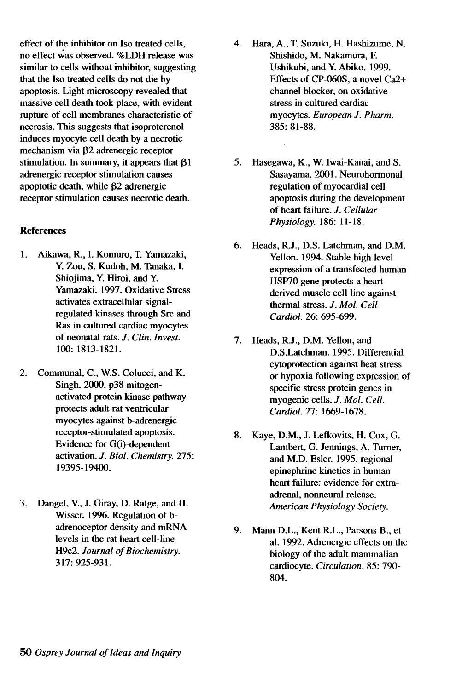effect of the inhibitor on Iso treated cells,  $\begin{array}{ccc} 4. & \text{Hara, A., T. Suzuki, H. Hashizume, N.} \\ \text{no effect was observed. } \%\text{LDH release was} \end{array}$ no effect was observed. %LDH release was Shishido, M. Nakamura, F.<br>similar to cells without inhibitor, suggesting Ushikubi, and Y. Abiko, 1999. similar to cells without inhibitor, suggesting Ushikubi, and Y. Abiko. 1999.<br>
that the Iso treated cells do not die by Effects of CP-060S, a novel Ca2+ that the Iso treated cells do not die by<br>
approximation and Effects of CP-060S, a novel C<br>
channel blocker, on oxidative apoptosis. Light microscopy revealed that massive cell death took place, with evident stress in cultured cardiac<br>rupture of cell membranes characteristic of myocytes. European J. Pharm. rupture of cell membranes characteristic of myocytes. *F*<br>necrosis. This suggests that isoproterenol 385: 81-88. necrosis. This suggests that isoproterenol induces myocyte cell death by a necrotic mechanism via  $\beta$ 2 adrenergic receptor stimulation. In summary, it appears that  $\beta$ 1 5. Hasegawa, K., W. Iwai-Kanai, and S.<br>adrenergic receptor stimulation causes Sasayama. 2001. Neurohormonal adrenergic receptor stimulation causes<br>
appropriate appropriate Sasayama. 2001. Neurohorm<br>
appropriate regulation of myocardial cell<br>
approximate regulation of myocardial cell apoptotic death, while  $\beta$ 2 adrenergic regulation of myocardial cell<br>receptor stimulation causes necrotic death. apoptosis during the development receptor stimulation causes necrotic death.

## References

- 1. Aikawa, R., I. Komuro, T. Yamazaki,<br>Y. Zou, S. Kudoh. M. Tanaka, I. regulated kinases through Src and Ras in cultured cardiac myocytes<br>of neonatal rats. J. Clin. Invest.
- protects adult rat ventricular *Cardiol.* 27: 1669-1678. myocytes against b-adrenergic receptor-stimulated apoptosis.<br>
8. Kaye, D.M., J. Lefkovits, H. Cox, G.<br>
I ambert G. Jennings, A. Turner
- 3. Dangel, V., J. Giray, D. Ratge, and H. *American Physiology Society.*  Wisser. 1996. Regulation of badrenoceptor density and mRNA 9. Mann D.L., Kent R.L., Parsons B., et<br>levels in the rat heart cell-line density and 1002. Adrenarcia effects on the
- 
- of heart failure. *J. Cellular Physiology.* 186: 11-18.
- 6. Heads, R.J., D.S. Latchman, and D.M. Y. Zou, S. Kudoh, M. Tanaka, I. expression of a transfected human<br>Shiojima, Y. Hiroi, and Y. expression of a transfected human Shiojima, Y. Hiroi, and Y.<br>
Yamazaki. 1997. Oxidative Stress<br>
HSP70 gene protects a heart-<br>
derived muscle cell line again Yamazaki. 1997. Oxidative Stress<br>
activates extracellular signal-<br>
derived muscle cell line against<br>
thermal stress *I Mol Cell* thermal stress. *J. Mol. Cell*<br>Cardiol. 26: 695-699.
- of neonatal rats. *J. Clin. Invest.* **7.** Heads, R.J., D.M. Yellon, and <br>100: 1813-1821. **D.S. Latchman**, 1005, Diff D.S.Latchman. 1995. Differential cytoprotection against heat stress 2. Communal, C., W.S. Colucci, and K. or hypoxia following expression of<br>Singh. 2000. p38 mitogen-<br>Singhia following expression of specific stress protein gangs in Singh. 2000. p38 mitogen-<br>
activated protein kinase pathway<br>
myogenic cells *I* Mol Cell myogenic cells. *J. Mol. Cell.* 
	- Evidence for G(i)-dependent Lambert, G. Jennings, A. Turner,<br>activation. J. Biol. Chemistry. 275: and M.D. Esler, 1995, regional activation. *J. Bioi. Chemistry. 275:* and M.D. Esler. 1995. regional epinephrine kinetics in human heart failure: evidence for extraadrenal, nonneural release.
	- levels in the rat heart cell-line at at at al. 1992. Adrenergic effects on the H9c2. Journal of Biochemistry. H9c2. *Journal of Biochemistry.*<br>317: 925-931. **biology of the adult mammalian** 317: 925-931. cardiocyte. *Circulation.* 85: 790- 804.